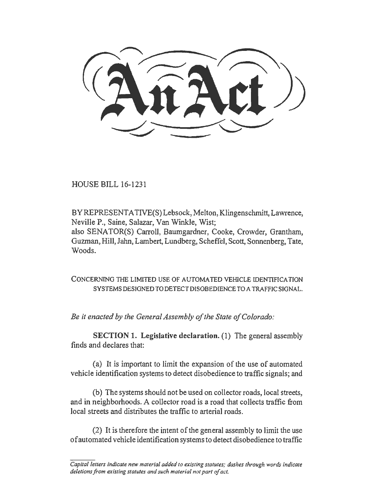HOUSE BILL 16-1231

BYREPRESENTATIVE(S) Lebsock, Melton, Klingenschmitt, Lawrence, Neville P., Saine, Salazar, Van Winkle, Wist; also SENATOR(S) Carroll, Baumgardner, Cooke, Crowder, Grantham, Guzman, Hill, Jahn, Lambert, Lundberg, Scheffel, Scott, Sonnenberg, Tate, Woods.

CONCERNING THE LIMITED USE OF AUTOMATED VEHICLE IDENTIFICATION SYSTEMS DESIGNED TO DETECT DISOBEDIENCE TO A TRAFFIC SIGNAL.

*Be it enacted by the General Assembly of the State of Colorado:* 

SECTION 1. Legislative declaration. (1) The general assembly finds and declares that:

(a) It is important to limit the expansion of the use of automated vehicle identification systems to detect disobedience to traffic signals; and

(b) The systems should not be used on collector roads, local streets, and in neighborhoods. A collector road is a road that collects traffic from local streets and distributes the traffic to arterial roads.

(2) It is therefore the intent of the general assembly to limit the use of automated vehicle identification systems to detect disobedience to traffic

*Capital letters indicate new material added to existing statutes; dashes through words indicate deletions from existing statutes and such material not part of act.*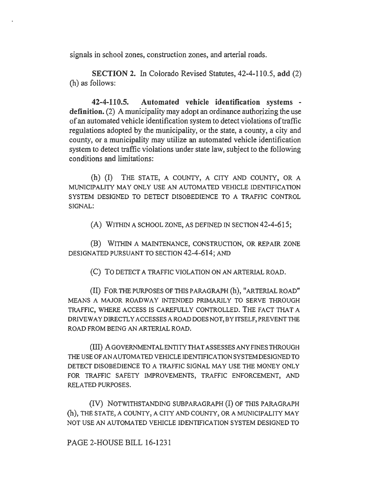signals in school zones, construction zones, and arterial roads.

SECTION 2. In Colorado Revised Statutes, 42-4-110.5, add (2) (h) as follows:

42-4-110.5. Automated vehicle identification systems definition. (2) A municipality may adopt an ordinance authorizing the use of an automated vehicle identification system to detect violations of traffic regulations adopted by the municipality, or the state, a county, a city and county, or a municipality may utilize an automated vehicle identification system to detect traffic violations under state law, subject to the following conditions and limitations:

(h) (I) THE STATE, A COUNTY, A CITY AND COUNTY, OR A MUNICIPALITY MAY ONLY USE AN AUTOMATED VEHICLE IDENTIFICATION SYSTEM DESIGNED TO DETECT DISOBEDIENCE TO A TRAFFIC CONTROL SIGNAL:

(A) WITHIN A SCHOOL ZONE, AS DEFINED IN SECTION 42-4-615;

(B) WITHIN A MAINTENANCE, CONSTRUCTION, OR REPAIR ZONE DESIGNATED PURSUANT TO SECTION 42-4-614; AND

(C) To DETECT A TRAFFIC VIOLATION ON AN ARTERIAL ROAD.

(II) FOR THE PURPOSES OF THIS PARAGRAPH (h), "ARTERIAL ROAD" MEANS A MAJOR ROADWAY INTENDED PRIMARILY TO SERVE THROUGH TRAFFIC, WHERE ACCESS IS CAREFULLY CONTROLLED. THE FACT THAT A DRIVEWAY DIRECTLY ACCESSES A ROAD DOES NOT, BY ITSELF, PREVENT THE ROAD FROM BEING AN ARTERIAL ROAD.

(III) A GOVERNMENTAL ENTITY THAT ASSESSES ANY FINES THROUGH THE USE OF AN AUTOMATED VEHICLE IDENTIFICATION SYSTEM DESIGNED TO DETECT DISOBEDIENCE TO A TRAFFIC SIGNAL MAY USE THE MONEY ONLY FOR TRAFFIC SAFETY IMPROVEMENTS, TRAFFIC ENFORCEMENT, AND RELATED PURPOSES.

(IV) NOTWITHSTANDING SUBPARAGRAPH (I) OF THIS PARAGRAPH (h), THE STATE, A COUNTY, A CITY AND COUNTY, ORA MUNICIPALITY MAY NOT USE AN AUTOMATED VEHICLE IDENTIFICATION SYSTEM DESIGNED TO